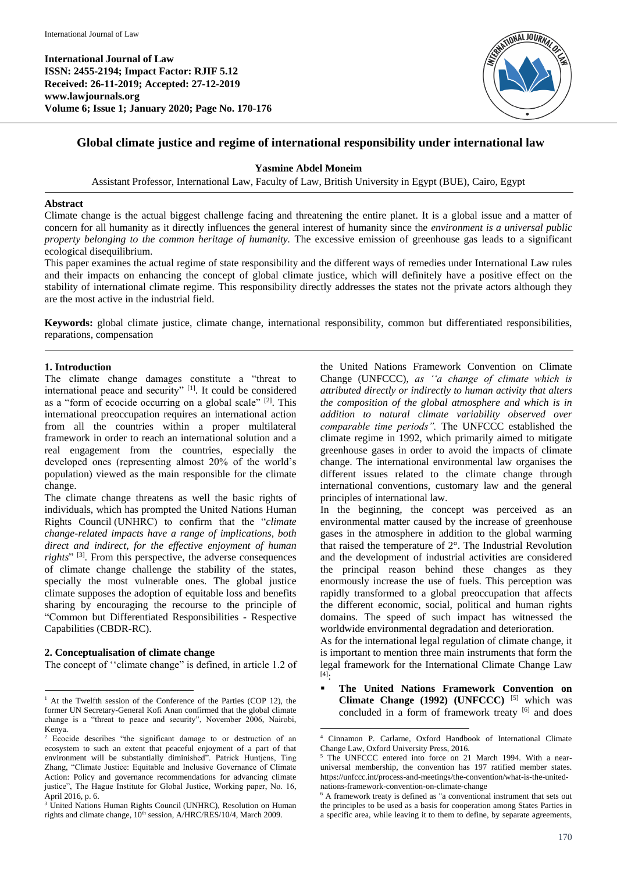**International Journal of Law ISSN: 2455-2194; Impact Factor: RJIF 5.12 Received: 26-11-2019; Accepted: 27-12-2019 www.lawjournals.org Volume 6; Issue 1; January 2020; Page No. 170-176**



# **Global climate justice and regime of international responsibility under international law**

# **Yasmine Abdel Moneim**

Assistant Professor, International Law, Faculty of Law, British University in Egypt (BUE), Cairo, Egypt

## **Abstract**

Climate change is the actual biggest challenge facing and threatening the entire planet. It is a global issue and a matter of concern for all humanity as it directly influences the general interest of humanity since the *environment is a universal public property belonging to the common heritage of humanity.* The excessive emission of greenhouse gas leads to a significant ecological disequilibrium.

This paper examines the actual regime of state responsibility and the different ways of remedies under International Law rules and their impacts on enhancing the concept of global climate justice, which will definitely have a positive effect on the stability of international climate regime. This responsibility directly addresses the states not the private actors although they are the most active in the industrial field.

**Keywords:** global climate justice, climate change, international responsibility, common but differentiated responsibilities, reparations, compensation

1

# **1. Introduction**

The climate change damages constitute a "threat to international peace and security" [1]. It could be considered as a "form of ecocide occurring on a global scale" <sup>[2]</sup>. This international preoccupation requires an international action from all the countries within a proper multilateral framework in order to reach an international solution and a real engagement from the countries, especially the developed ones (representing almost 20% of the world's population) viewed as the main responsible for the climate change.

The climate change threatens as well the basic rights of individuals, which has prompted the United Nations Human Rights Council (UNHRC) to confirm that the "*climate change-related impacts have a range of implications, both direct and indirect, for the effective enjoyment of human*  rights<sup>" [3]</sup>. From this perspective, the adverse consequences of climate change challenge the stability of the states, specially the most vulnerable ones. The global justice climate supposes the adoption of equitable loss and benefits sharing by encouraging the recourse to the principle of "Common but Differentiated Responsibilities - Respective Capabilities (CBDR-RC).

## **2. Conceptualisation of climate change**

 $\ddot{\phantom{a}}$ 

The concept of ''climate change" is defined, in article 1.2 of

the United Nations Framework Convention on Climate Change (UNFCCC), *as ''a change of climate which is attributed directly or indirectly to human activity that alters the composition of the global atmosphere and which is in addition to natural climate variability observed over comparable time periods".* The UNFCCC established the climate regime in 1992, which primarily aimed to mitigate greenhouse gases in order to avoid the impacts of climate change. The international environmental law organises the different issues related to the climate change through international conventions, customary law and the general principles of international law.

In the beginning, the concept was perceived as an environmental matter caused by the increase of greenhouse gases in the atmosphere in addition to the global warming that raised the temperature of 2°. The Industrial Revolution and the development of industrial activities are considered the principal reason behind these changes as they enormously increase the use of fuels. This perception was rapidly transformed to a global preoccupation that affects the different economic, social, political and human rights domains. The speed of such impact has witnessed the worldwide environmental degradation and deterioration.

As for the international legal regulation of climate change, it is important to mention three main instruments that form the legal framework for the International Climate Change Law [4] :

 **The United Nations Framework Convention on Climate Change (1992) (UNFCCC)** [5] which was concluded in a form of framework treaty [6] and does

<sup>&</sup>lt;sup>1</sup> At the Twelfth session of the Conference of the Parties (COP 12), the former UN Secretary-General Kofi Anan confirmed that the global climate change is a "threat to peace and security", November 2006, Nairobi, Kenya.

<sup>2</sup> Ecocide describes "the significant damage to or destruction of an ecosystem to such an extent that peaceful enjoyment of a part of that environment will be substantially diminished". Patrick Huntjens, Ting Zhang, "Climate Justice: Equitable and Inclusive Governance of Climate Action: Policy and governance recommendations for advancing climate justice", The Hague Institute for Global Justice, Working paper, No. 16, April 2016, p. 6.

<sup>&</sup>lt;sup>3</sup> United Nations Human Rights Council (UNHRC), Resolution on Human rights and climate change,  $10^{th}$  session, A/HRC/RES/10/4, March 2009.

<sup>4</sup> Cinnamon P. Carlarne, Oxford Handbook of International Climate Change Law, Oxford University Press, 2016.

The UNFCCC entered into force on 21 March 1994. With a nearuniversal membership, the convention has 197 ratified member states. https://unfccc.int/process-and-meetings/the-convention/what-is-the-unitednations-framework-convention-on-climate-change

<sup>6</sup> A framework treaty is defined as "a conventional instrument that sets out the principles to be used as a basis for cooperation among States Parties in a specific area, while leaving it to them to define, by separate agreements,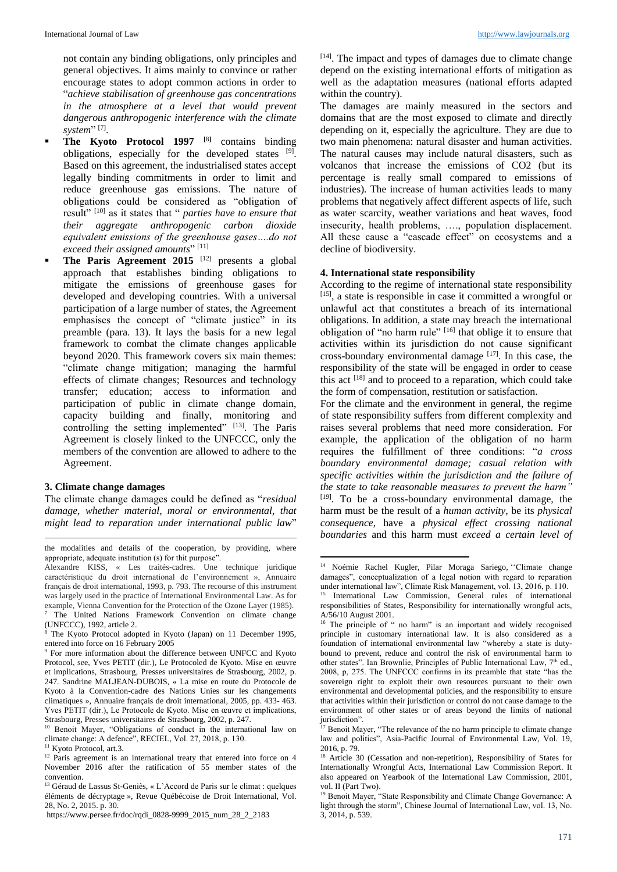not contain any binding obligations, only principles and general objectives. It aims mainly to convince or rather encourage states to adopt common actions in order to "*achieve stabilisation of greenhouse gas concentrations in the atmosphere at a level that would prevent dangerous anthropogenic interference with the climate*  system"<sup>[7]</sup>.

- **The Kyoto Protocol 1997** <sup>[8]</sup> contains binding obligations, especially for the developed states  $[9]$ . Based on this agreement, the industrialised states accept legally binding commitments in order to limit and reduce greenhouse gas emissions. The nature of obligations could be considered as "obligation of result" [10] as it states that " *parties have to ensure that their aggregate anthropogenic carbon dioxide equivalent emissions of the greenhouse gases….do not exceed their assigned amounts*" [11]
- The Paris Agreement 2015<sup>[12]</sup> presents a global approach that establishes binding obligations to mitigate the emissions of greenhouse gases for developed and developing countries. With a universal participation of a large number of states, the Agreement emphasises the concept of "climate justice" in its preamble (para. 13). It lays the basis for a new legal framework to combat the climate changes applicable beyond 2020. This framework covers six main themes: "climate change mitigation; managing the harmful effects of climate changes; Resources and technology transfer; education; access to information and participation of public in climate change domain, capacity building and finally, monitoring and controlling the setting implemented" [13]. The Paris Agreement is closely linked to the UNFCCC, only the members of the convention are allowed to adhere to the Agreement.

## **3. Climate change damages**

 $\overline{a}$ 

The climate change damages could be defined as "*residual damage, whether material, moral or environmental, that might lead to reparation under international public law*"

[14]. The impact and types of damages due to climate change depend on the existing international efforts of mitigation as well as the adaptation measures (national efforts adapted within the country).

The damages are mainly measured in the sectors and domains that are the most exposed to climate and directly depending on it, especially the agriculture. They are due to two main phenomena: natural disaster and human activities. The natural causes may include natural disasters, such as volcanos that increase the emissions of CO2 (but its percentage is really small compared to emissions of industries). The increase of human activities leads to many problems that negatively affect different aspects of life, such as water scarcity, weather variations and heat waves, food insecurity, health problems, …., population displacement. All these cause a "cascade effect" on ecosystems and a decline of biodiversity.

## **4. International state responsibility**

According to the regime of international state responsibility [15], a state is responsible in case it committed a wrongful or unlawful act that constitutes a breach of its international obligations. In addition, a state may breach the international obligation of "no harm rule" [16] that oblige it to ensure that activities within its jurisdiction do not cause significant cross-boundary environmental damage  $[17]$ . In this case, the responsibility of the state will be engaged in order to cease this act  $[18]$  and to proceed to a reparation, which could take the form of compensation, restitution or satisfaction.

For the climate and the environment in general, the regime of state responsibility suffers from different complexity and raises several problems that need more consideration. For example, the application of the obligation of no harm requires the fulfillment of three conditions: "*a cross boundary environmental damage; casual relation with specific activities within the jurisdiction and the failure of the state to take reasonable measures to prevent the harm"* [19] *.* To be a cross-boundary environmental damage, the harm must be the result of a *human activity*, be its *physical consequence*, have a *physical effect crossing national boundaries* and this harm must *exceed a certain level of* 

**.** 

the modalities and details of the cooperation, by providing, where appropriate, adequate institution (s) for thit purpose".

Alexandre KISS, « Les traités-cadres. Une technique juridique caractéristique du droit international de l'environnement », Annuaire français de droit international, 1993, p. 793. The recourse of this instrument was largely used in the practice of International Environmental Law. As for example, Vienna Convention for the Protection of the Ozone Layer (1985). The United Nations Framework Convention on climate change

<sup>(</sup>UNFCCC), 1992, article 2. The Kyoto Protocol adopted in Kyoto (Japan) on 11 December 1995, entered into force on 16 February 2005

<sup>9</sup> For more information about the difference between UNFCC and Kyoto Protocol, see, Yves PETIT (dir.), Le Protocoled de Kyoto. Mise en œuvre et implications, Strasbourg, Presses universitaires de Strasbourg, 2002, p. 247. Sandrine MALJEAN-DUBOIS, « La mise en route du Protocole de Kyoto à la Convention-cadre des Nations Unies sur les changements climatiques », Annuaire français de droit international, 2005, pp. 433- 463. Yves PETIT (dir.), Le Protocole de Kyoto. Mise en œuvre et implications, Strasbourg, Presses universitaires de Strasbourg, 2002, p. 247.

<sup>&</sup>lt;sup>10</sup> Benoit Mayer, "Obligations of conduct in the international law on climate change: A defence", RECIEL, Vol. 27, 2018, p. 130.

<sup>&</sup>lt;sup>11</sup> Kyoto Protocol, art.3.

<sup>&</sup>lt;sup>12</sup> Paris agreement is an international treaty that entered into force on 4 November 2016 after the ratification of 55 member states of the convention.

<sup>&</sup>lt;sup>13</sup> Géraud de Lassus St-Geniès, « L'Accord de Paris sur le climat : quelques éléments de décryptage », Revue Québécoise de Droit International, Vol. 28, No. 2, 2015. p. 30.

https://www.persee.fr/doc/rqdi\_0828-9999\_2015\_num\_28\_2\_2183

<sup>14</sup> Noémie Rachel Kugler, Pilar Moraga Sariego, ''Climate change damages", conceptualization of a legal notion with regard to reparation under international law", Climate Risk Management, vol. 13, 2016, p. 110. International Law Commission, General rules of international responsibilities of States, Responsibility for internationally wrongful acts, A/56/10 August 2001.

<sup>&</sup>lt;sup>16</sup> The principle of " no harm" is an important and widely recognised principle in customary international law. It is also considered as a foundation of international environmental law "whereby a state is dutybound to prevent, reduce and control the risk of environmental harm to other states". Ian Brownlie, Principles of Public International Law, 7<sup>th</sup> ed., 2008, p, 275. The UNFCCC confirms in its preamble that state "has the sovereign right to exploit their own resources pursuant to their own environmental and developmental policies, and the responsibility to ensure that activities within their jurisdiction or control do not cause damage to the environment of other states or of areas beyond the limits of national jurisdiction".

 $17$  Benoit Mayer, "The relevance of the no harm principle to climate change law and politics", Asia-Pacific Journal of Environmental Law, Vol. 19, 2016, p. 79.

<sup>&</sup>lt;sup>18</sup> Article 30 (Cessation and non-repetition), Responsibility of States for Internationally Wrongful Acts, International Law Commission Report. It also appeared on Yearbook of the International Law Commission, 2001, vol. II (Part Two).

<sup>&</sup>lt;sup>19</sup> Benoit Mayer, "State Responsibility and Climate Change Governance: A light through the storm", Chinese Journal of International Law, vol. 13, No. 3, 2014, p. 539.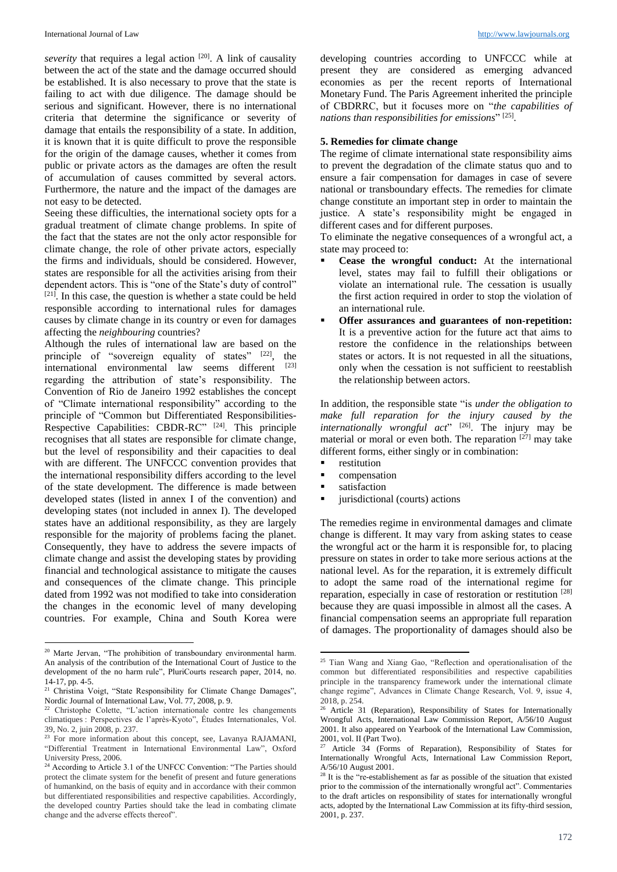severity that requires a legal action <sup>[20]</sup>. A link of causality between the act of the state and the damage occurred should be established. It is also necessary to prove that the state is failing to act with due diligence. The damage should be serious and significant. However, there is no international criteria that determine the significance or severity of damage that entails the responsibility of a state. In addition, it is known that it is quite difficult to prove the responsible for the origin of the damage causes, whether it comes from public or private actors as the damages are often the result of accumulation of causes committed by several actors. Furthermore, the nature and the impact of the damages are not easy to be detected.

Seeing these difficulties, the international society opts for a gradual treatment of climate change problems. In spite of the fact that the states are not the only actor responsible for climate change, the role of other private actors, especially the firms and individuals, should be considered. However, states are responsible for all the activities arising from their dependent actors. This is "one of the State's duty of control"  $[21]$ . In this case, the question is whether a state could be held responsible according to international rules for damages causes by climate change in its country or even for damages affecting the *neighbouring* countries?

Although the rules of international law are based on the principle of "sovereign equality of states" [22], the international environmental law seems different [23] regarding the attribution of state's responsibility. The Convention of Rio de Janeiro 1992 establishes the concept of "Climate international responsibility" according to the principle of "Common but Differentiated Responsibilities-Respective Capabilities: CBDR-RC"<sup>[24]</sup>. This principle recognises that all states are responsible for climate change, but the level of responsibility and their capacities to deal with are different. The UNFCCC convention provides that the international responsibility differs according to the level of the state development. The difference is made between developed states (listed in annex I of the convention) and developing states (not included in annex I). The developed states have an additional responsibility, as they are largely responsible for the majority of problems facing the planet. Consequently, they have to address the severe impacts of climate change and assist the developing states by providing financial and technological assistance to mitigate the causes and consequences of the climate change. This principle dated from 1992 was not modified to take into consideration the changes in the economic level of many developing countries. For example, China and South Korea were

 $\overline{a}$ 

developing countries according to UNFCCC while at present they are considered as emerging advanced economies as per the recent reports of International Monetary Fund. The Paris Agreement inherited the principle of CBDRRC, but it focuses more on "*the capabilities of nations than responsibilities for emissions*" [25] .

#### **5. Remedies for climate change**

The regime of climate international state responsibility aims to prevent the degradation of the climate status quo and to ensure a fair compensation for damages in case of severe national or transboundary effects. The remedies for climate change constitute an important step in order to maintain the justice. A state's responsibility might be engaged in different cases and for different purposes.

To eliminate the negative consequences of a wrongful act, a state may proceed to:

- **Cease the wrongful conduct:** At the international level, states may fail to fulfill their obligations or violate an international rule. The cessation is usually the first action required in order to stop the violation of an international rule.
- **Offer assurances and guarantees of non-repetition:**  It is a preventive action for the future act that aims to restore the confidence in the relationships between states or actors. It is not requested in all the situations, only when the cessation is not sufficient to reestablish the relationship between actors.

In addition, the responsible state "is *under the obligation to make full reparation for the injury caused by the*  internationally wrongful act"<sup>[26]</sup>. The injury may be material or moral or even both. The reparation  $[27]$  may take different forms, either singly or in combination:

- **compensation**
- satisfaction

**.** 

jurisdictional (courts) actions

The remedies regime in environmental damages and climate change is different. It may vary from asking states to cease the wrongful act or the harm it is responsible for, to placing pressure on states in order to take more serious actions at the national level. As for the reparation, it is extremely difficult to adopt the same road of the international regime for reparation, especially in case of restoration or restitution [28] because they are quasi impossible in almost all the cases. A financial compensation seems an appropriate full reparation of damages. The proportionality of damages should also be

<sup>&</sup>lt;sup>20</sup> Marte Jervan, "The prohibition of transboundary environmental harm. An analysis of the contribution of the International Court of Justice to the development of the no harm rule", PluriCourts research paper, 2014, no. 14-17, pp. 4-5.

<sup>&</sup>lt;sup>21</sup> Christina Voigt, "State Responsibility for Climate Change Damages", Nordic Journal of International Law, Vol. 77, 2008, p. 9.

<sup>22</sup> Christophe Colette, "L'action internationale contre les changements climatiques : Perspectives de l'après-Kyoto", Études Internationales, Vol. 39, No. 2, juin 2008, p. 237.

<sup>&</sup>lt;sup>23</sup> For more information about this concept, see, Lavanya RAJAMANI, "Differential Treatment in International Environmental Law", Oxford University Press, 2006.

<sup>&</sup>lt;sup>24</sup> According to Article 3.1 of the UNFCC Convention: "The Parties should protect the climate system for the benefit of present and future generations of humankind, on the basis of equity and in accordance with their common but differentiated responsibilities and respective capabilities. Accordingly, the developed country Parties should take the lead in combating climate change and the adverse effects thereof".

restitution

<sup>&</sup>lt;sup>25</sup> Tian Wang and Xiang Gao, "Reflection and operationalisation of the common but differentiated responsibilities and respective capabilities principle in the transparency framework under the international climate change regime", Advances in Climate Change Research, Vol. 9, issue 4, 2018, p. 254.

<sup>&</sup>lt;sup>26</sup> Article 31 (Reparation), Responsibility of States for Internationally Wrongful Acts, International Law Commission Report, A/56/10 August 2001. It also appeared on Yearbook of the International Law Commission, 2001, vol. II (Part Two).

Article 34 (Forms of Reparation), Responsibility of States for Internationally Wrongful Acts, International Law Commission Report, A/56/10 August 2001.

 $28$  It is the "re-establishement as far as possible of the situation that existed prior to the commission of the internationally wrongful act". Commentaries to the draft articles on responsibility of states for internationally wrongful acts, adopted by the International Law Commission at its fifty-third session, 2001, p. 237.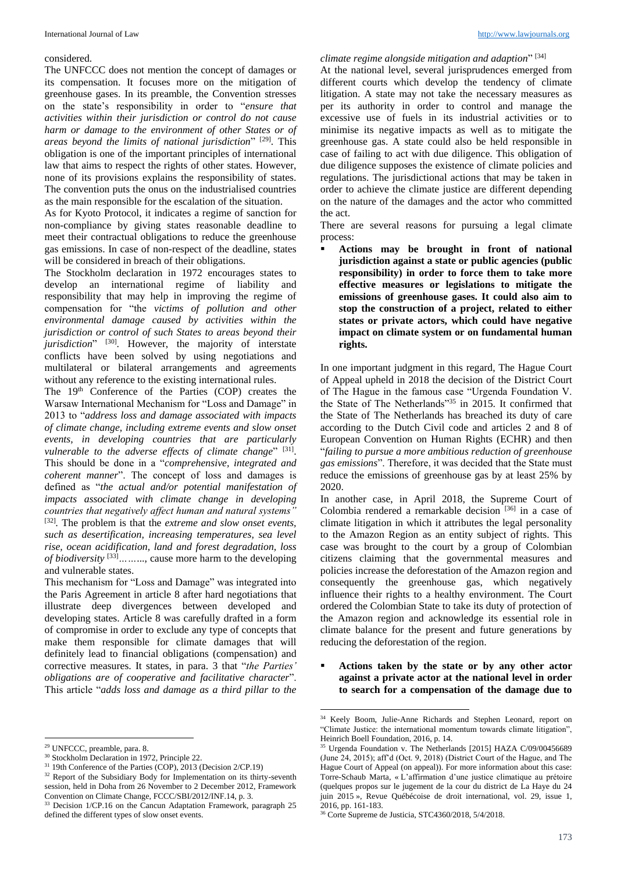#### considered.

The UNFCCC does not mention the concept of damages or its compensation. It focuses more on the mitigation of greenhouse gases. In its preamble, the Convention stresses on the state's responsibility in order to "*ensure that activities within their jurisdiction or control do not cause harm or damage to the environment of other States or of areas beyond the limits of national jurisdiction*" [29] . This obligation is one of the important principles of international law that aims to respect the rights of other states. However, none of its provisions explains the responsibility of states. The convention puts the onus on the industrialised countries as the main responsible for the escalation of the situation.

As for Kyoto Protocol, it indicates a regime of sanction for non-compliance by giving states reasonable deadline to meet their contractual obligations to reduce the greenhouse gas emissions. In case of non-respect of the deadline, states will be considered in breach of their obligations.

The Stockholm declaration in 1972 encourages states to develop an international regime of liability and responsibility that may help in improving the regime of compensation for "the *victims of pollution and other environmental damage caused by activities within the jurisdiction or control of such States to areas beyond their jurisdiction*" [30] . However, the majority of interstate conflicts have been solved by using negotiations and multilateral or bilateral arrangements and agreements without any reference to the existing international rules.

The 19<sup>th</sup> Conference of the Parties (COP) creates the Warsaw International Mechanism for "Loss and Damage" in 2013 to "*address loss and damage associated with impacts of climate change, including extreme events and slow onset events, in developing countries that are particularly*  vulnerable to the adverse effects of climate change" [31]. This should be done in a "*comprehensive, integrated and coherent manner*". The concept of loss and damages is defined as "*the actual and/or potential manifestation of impacts associated with climate change in developing countries that negatively affect human and natural systems"* [32] *.* The problem is that the *extreme and slow onset events, such as desertification, increasing temperatures, sea level rise, ocean acidification, land and forest degradation, loss of biodiversity* [33]*……*..., cause more harm to the developing and vulnerable states.

This mechanism for "Loss and Damage" was integrated into the Paris Agreement in article 8 after hard negotiations that illustrate deep divergences between developed and developing states. Article 8 was carefully drafted in a form of compromise in order to exclude any type of concepts that make them responsible for climate damages that will definitely lead to financial obligations (compensation) and corrective measures. It states, in para. 3 that "*the Parties' obligations are of cooperative and facilitative character*". This article "*adds loss and damage as a third pillar to the* 

 $\overline{a}$ 

*climate regime alongside mitigation and adaption*" [34]

At the national level, several jurisprudences emerged from different courts which develop the tendency of climate litigation. A state may not take the necessary measures as per its authority in order to control and manage the excessive use of fuels in its industrial activities or to minimise its negative impacts as well as to mitigate the greenhouse gas. A state could also be held responsible in case of failing to act with due diligence. This obligation of due diligence supposes the existence of climate policies and regulations. The jurisdictional actions that may be taken in order to achieve the climate justice are different depending on the nature of the damages and the actor who committed the act.

There are several reasons for pursuing a legal climate process:

 **Actions may be brought in front of national jurisdiction against a state or public agencies (public responsibility) in order to force them to take more effective measures or legislations to mitigate the emissions of greenhouse gases. It could also aim to stop the construction of a project, related to either states or private actors, which could have negative impact on climate system or on fundamental human rights.**

In one important judgment in this regard, The Hague Court of Appeal upheld in 2018 the decision of the District Court of The Hague in the famous case "Urgenda Foundation V. the State of The Netherlands<sup> $35$ </sup> in 2015. It confirmed that the State of The Netherlands has breached its duty of care according to the Dutch Civil code and articles 2 and 8 of European Convention on Human Rights (ECHR) and then "*failing to pursue a more ambitious reduction of greenhouse gas emissions*". Therefore, it was decided that the State must reduce the emissions of greenhouse gas by at least 25% by 2020.

In another case, in April 2018, the Supreme Court of Colombia rendered a remarkable decision [36] in a case of climate litigation in which it attributes the legal personality to the Amazon Region as an entity subject of rights. This case was brought to the court by a group of Colombian citizens claiming that the governmental measures and policies increase the deforestation of the Amazon region and consequently the greenhouse gas, which negatively influence their rights to a healthy environment. The Court ordered the Colombian State to take its duty of protection of the Amazon region and acknowledge its essential role in climate balance for the present and future generations by reducing the deforestation of the region.

 **Actions taken by the state or by any other actor against a private actor at the national level in order to search for a compensation of the damage due to** 

1

<sup>29</sup> UNFCCC, preamble, para. 8.

<sup>30</sup> Stockholm Declaration in 1972, Principle 22.

<sup>&</sup>lt;sup>31</sup> 19th Conference of the Parties (COP), 2013 (Decision 2/CP.19)

<sup>&</sup>lt;sup>32</sup> Report of the Subsidiary Body for Implementation on its thirty-seventh session, held in Doha from 26 November to 2 December 2012, Framework Convention on Climate Change, FCCC/SBI/2012/INF.14, p. 3.

<sup>&</sup>lt;sup>33</sup> Decision 1/CP.16 on the Cancun Adaptation Framework, paragraph 25 defined the different types of slow onset events.

<sup>&</sup>lt;sup>34</sup> Keely Boom, Julie-Anne Richards and Stephen Leonard, report on "Climate Justice: the international momentum towards climate litigation", Heinrich Boell Foundation, 2016, p. 14.

<sup>&</sup>lt;sup>35</sup> Urgenda Foundation v. The Netherlands [2015] HAZA C/09/00456689 (June 24, 2015); aff'd (Oct. 9, 2018) (District Court of the Hague, and The Hague Court of Appeal (on appeal)). For more information about this case: Torre-Schaub Marta, « L'affirmation d'une justice climatique au prétoire (quelques propos sur le jugement de la cour du district de La Haye du 24 juin 2015 », Revue Québécoise de droit international, vol. 29, issue 1, 2016, pp. 161-183.

<sup>36</sup> Corte Supreme de Justicia, STC4360/2018, 5/4/2018.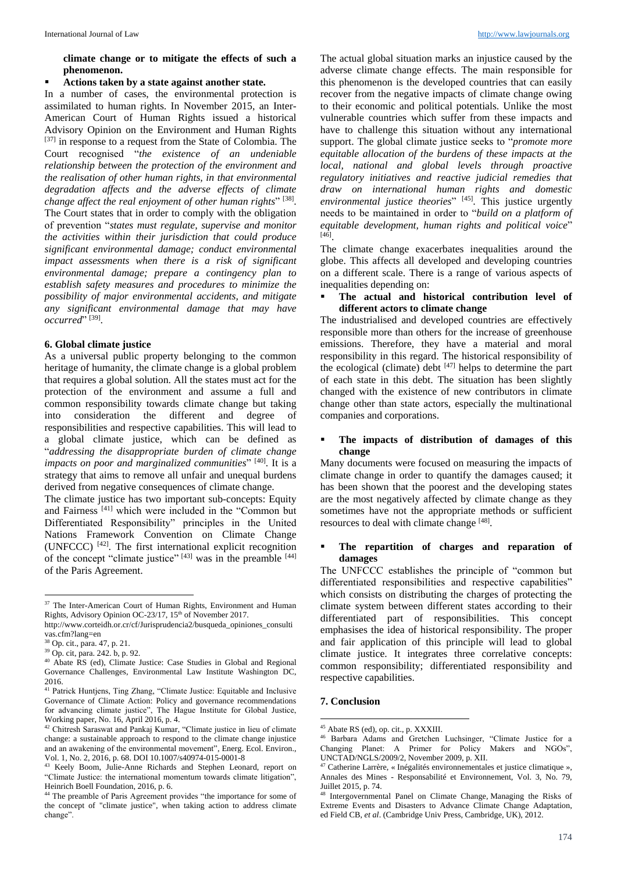**climate change or to mitigate the effects of such a phenomenon.** 

## **Actions taken by a state against another state.**

In a number of cases, the environmental protection is assimilated to human rights. In November 2015, an Inter-American Court of Human Rights issued a historical Advisory Opinion on the Environment and Human Rights [37] in response to a request from the State of Colombia. The Court recognised "*the existence of an undeniable relationship between the protection of the environment and the realisation of other human rights, in that environmental degradation affects and the adverse effects of climate change affect the real enjoyment of other human rights*" [38] . The Court states that in order to comply with the obligation of prevention "*states must regulate, supervise and monitor the activities within their jurisdiction that could produce significant environmental damage; conduct environmental impact assessments when there is a risk of significant environmental damage; prepare a contingency plan to establish safety measures and procedures to minimize the possibility of major environmental accidents, and mitigate any significant environmental damage that may have occurred*" [39] .

#### **6. Global climate justice**

As a universal public property belonging to the common heritage of humanity, the climate change is a global problem that requires a global solution. All the states must act for the protection of the environment and assume a full and common responsibility towards climate change but taking into consideration the different and degree of responsibilities and respective capabilities. This will lead to a global climate justice, which can be defined as "*addressing the disappropriate burden of climate change impacts on poor and marginalized communities*" [40] . It is a strategy that aims to remove all unfair and unequal burdens derived from negative consequences of climate change.

The climate justice has two important sub-concepts: Equity and Fairness [41] which were included in the "Common but Differentiated Responsibility" principles in the United Nations Framework Convention on Climate Change (UNFCCC) [42] . The first international explicit recognition of the concept "climate justice" [43] was in the preamble [44] of the Paris Agreement.

 $\overline{a}$ 

The actual global situation marks an injustice caused by the adverse climate change effects. The main responsible for this phenomenon is the developed countries that can easily recover from the negative impacts of climate change owing to their economic and political potentials. Unlike the most vulnerable countries which suffer from these impacts and have to challenge this situation without any international support. The global climate justice seeks to "*promote more equitable allocation of the burdens of these impacts at the local, national and global levels through proactive regulatory initiatives and reactive judicial remedies that draw on international human rights and domestic environmental justice theories*" [45] . This justice urgently needs to be maintained in order to "*build on a platform of equitable development, human rights and political voice*" [46] .

The climate change exacerbates inequalities around the globe. This affects all developed and developing countries on a different scale. There is a range of various aspects of inequalities depending on:

## **The actual and historical contribution level of different actors to climate change**

The industrialised and developed countries are effectively responsible more than others for the increase of greenhouse emissions. Therefore, they have a material and moral responsibility in this regard. The historical responsibility of the ecological (climate) debt  $[47]$  helps to determine the part of each state in this debt. The situation has been slightly changed with the existence of new contributors in climate change other than state actors, especially the multinational companies and corporations.

# **The impacts of distribution of damages of this change**

Many documents were focused on measuring the impacts of climate change in order to quantify the damages caused; it has been shown that the poorest and the developing states are the most negatively affected by climate change as they sometimes have not the appropriate methods or sufficient resources to deal with climate change [48].

## **The repartition of charges and reparation of damages**

The UNFCCC establishes the principle of "common but differentiated responsibilities and respective capabilities" which consists on distributing the charges of protecting the climate system between different states according to their differentiated part of responsibilities. This concept emphasises the idea of historical responsibility. The proper and fair application of this principle will lead to global climate justice. It integrates three correlative concepts: common responsibility; differentiated responsibility and respective capabilities.

#### **7. Conclusion**

**.** 

<sup>&</sup>lt;sup>37</sup> The Inter-American Court of Human Rights, Environment and Human Rights, Advisory Opinion OC-23/17, 15<sup>th</sup> of November 2017.

http://www.corteidh.or.cr/cf/Jurisprudencia2/busqueda\_opiniones\_consulti vas.cfm?lang=en

<sup>38</sup> Op. cit., para. 47, p. 21.

<sup>39</sup> Op. cit, para. 242. b, p. 92.

<sup>40</sup> Abate RS (ed), Climate Justice: Case Studies in Global and Regional Governance Challenges, Environmental Law Institute Washington DC, 2016.

<sup>&</sup>lt;sup>41</sup> Patrick Huntjens, Ting Zhang, "Climate Justice: Equitable and Inclusive Governance of Climate Action: Policy and governance recommendations for advancing climate justice", The Hague Institute for Global Justice, Working paper, No. 16, April 2016, p. 4.

<sup>42</sup> Chitresh Saraswat and Pankaj Kumar, "Climate justice in lieu of climate change: a sustainable approach to respond to the climate change injustice and an awakening of the environmental movement", Energ. Ecol. Environ., Vol. 1, No. 2, 2016, p. 68. DOI 10.1007/s40974-015-0001-8

<sup>43</sup> Keely Boom, Julie-Anne Richards and Stephen Leonard, report on "Climate Justice: the international momentum towards climate litigation", Heinrich Boell Foundation, 2016, p. 6.

<sup>&</sup>lt;sup>44</sup> The preamble of Paris Agreement provides "the importance for some of the concept of "climate justice", when taking action to address climate change".

<sup>45</sup> Abate RS (ed), op. cit., p. XXXIII.

<sup>46</sup> Barbara Adams and Gretchen Luchsinger, "Climate Justice for a Changing Planet: A Primer for Policy Makers and NGOs", UNCTAD/NGLS/2009/2, November 2009, p. XII.

<sup>47</sup> Catherine Larrère, « Inégalités environnementales et justice climatique », Annales des Mines - Responsabilité et Environnement, Vol. 3, No. 79, Juillet 2015, p. 74.

<sup>48</sup> Intergovernmental Panel on Climate Change, Managing the Risks of Extreme Events and Disasters to Advance Climate Change Adaptation, ed Field CB, *et al*. (Cambridge Univ Press, Cambridge, UK), 2012.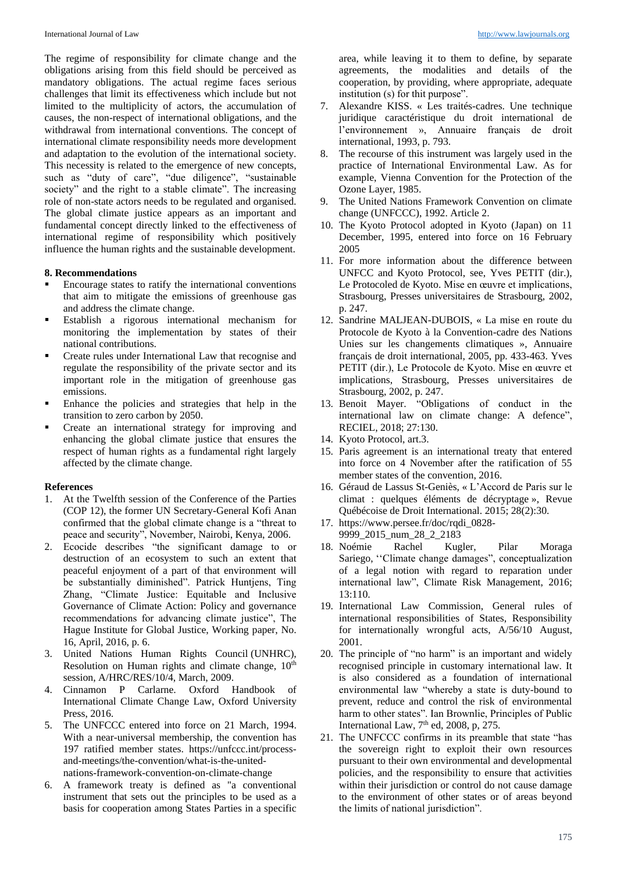The regime of responsibility for climate change and the obligations arising from this field should be perceived as mandatory obligations. The actual regime faces serious challenges that limit its effectiveness which include but not limited to the multiplicity of actors, the accumulation of causes, the non-respect of international obligations, and the withdrawal from international conventions. The concept of international climate responsibility needs more development and adaptation to the evolution of the international society. This necessity is related to the emergence of new concepts, such as "duty of care", "due diligence", "sustainable society" and the right to a stable climate". The increasing role of non-state actors needs to be regulated and organised. The global climate justice appears as an important and fundamental concept directly linked to the effectiveness of international regime of responsibility which positively influence the human rights and the sustainable development.

## **8. Recommendations**

- Encourage states to ratify the international conventions that aim to mitigate the emissions of greenhouse gas and address the climate change.
- Establish a rigorous international mechanism for monitoring the implementation by states of their national contributions.
- Create rules under International Law that recognise and regulate the responsibility of the private sector and its important role in the mitigation of greenhouse gas emissions.
- Enhance the policies and strategies that help in the transition to zero carbon by 2050.
- Create an international strategy for improving and enhancing the global climate justice that ensures the respect of human rights as a fundamental right largely affected by the climate change.

#### **References**

- 1. At the Twelfth session of the Conference of the Parties (COP 12), the former UN Secretary-General Kofi Anan confirmed that the global climate change is a "threat to peace and security", November, Nairobi, Kenya, 2006.
- 2. Ecocide describes "the significant damage to or destruction of an ecosystem to such an extent that peaceful enjoyment of a part of that environment will be substantially diminished". Patrick Huntjens, Ting Zhang, "Climate Justice: Equitable and Inclusive Governance of Climate Action: Policy and governance recommendations for advancing climate justice", The Hague Institute for Global Justice, Working paper, No. 16, April, 2016, p. 6.
- 3. United Nations Human Rights Council (UNHRC), Resolution on Human rights and climate change,  $10<sup>th</sup>$ session, A/HRC/RES/10/4, March, 2009.
- 4. Cinnamon P Carlarne. Oxford Handbook of International Climate Change Law, Oxford University Press, 2016.
- 5. The UNFCCC entered into force on 21 March, 1994. With a near-universal membership, the convention has 197 ratified member states. https://unfccc.int/processand-meetings/the-convention/what-is-the-unitednations-framework-convention-on-climate-change
- 6. A framework treaty is defined as "a conventional instrument that sets out the principles to be used as a basis for cooperation among States Parties in a specific

area, while leaving it to them to define, by separate agreements, the modalities and details of the cooperation, by providing, where appropriate, adequate institution (s) for thit purpose".

- 7. Alexandre KISS. « Les traités-cadres. Une technique juridique caractéristique du droit international de l'environnement », Annuaire français de droit international, 1993, p. 793.
- 8. The recourse of this instrument was largely used in the practice of International Environmental Law. As for example, Vienna Convention for the Protection of the Ozone Layer, 1985.
- 9. The United Nations Framework Convention on climate change (UNFCCC), 1992. Article 2.
- 10. The Kyoto Protocol adopted in Kyoto (Japan) on 11 December, 1995, entered into force on 16 February 2005
- 11. For more information about the difference between UNFCC and Kyoto Protocol, see, Yves PETIT (dir.), Le Protocoled de Kyoto. Mise en œuvre et implications, Strasbourg, Presses universitaires de Strasbourg, 2002, p. 247.
- 12. Sandrine MALJEAN-DUBOIS, « La mise en route du Protocole de Kyoto à la Convention-cadre des Nations Unies sur les changements climatiques », Annuaire français de droit international, 2005, pp. 433-463. Yves PETIT (dir.), Le Protocole de Kyoto. Mise en œuvre et implications, Strasbourg, Presses universitaires de Strasbourg, 2002, p. 247.
- 13. Benoit Mayer. "Obligations of conduct in the international law on climate change: A defence", RECIEL, 2018; 27:130.
- 14. Kyoto Protocol, art.3.
- 15. Paris agreement is an international treaty that entered into force on 4 November after the ratification of 55 member states of the convention, 2016.
- 16. Géraud de Lassus St-Geniès, « L'Accord de Paris sur le climat : quelques éléments de décryptage », Revue Québécoise de Droit International. 2015; 28(2):30.
- 17. https://www.persee.fr/doc/rqdi\_0828- 9999\_2015\_num\_28\_2\_2183
- 18. Noémie Rachel Kugler, Pilar Moraga Sariego, ''Climate change damages", conceptualization of a legal notion with regard to reparation under international law", Climate Risk Management, 2016; 13:110.
- 19. International Law Commission, General rules of international responsibilities of States, Responsibility for internationally wrongful acts, A/56/10 August, 2001.
- 20. The principle of "no harm" is an important and widely recognised principle in customary international law. It is also considered as a foundation of international environmental law "whereby a state is duty-bound to prevent, reduce and control the risk of environmental harm to other states". Ian Brownlie, Principles of Public International Law,  $7<sup>th</sup>$  ed, 2008, p, 275.
- 21. The UNFCCC confirms in its preamble that state "has the sovereign right to exploit their own resources pursuant to their own environmental and developmental policies, and the responsibility to ensure that activities within their jurisdiction or control do not cause damage to the environment of other states or of areas beyond the limits of national jurisdiction".